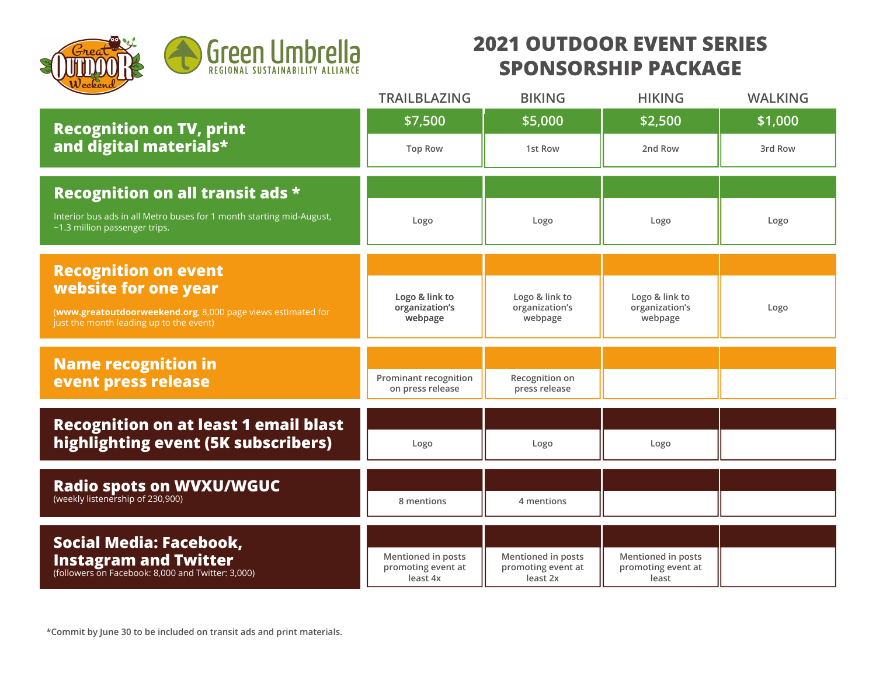

## **2021 OUTDOOR EVENT SERIES SPONSORSHIP PACKAGE**

|                                                                                                                                 | <b>TRAILBLAZING</b>                                  | <b>BIKING</b>                                        | <b>HIKING</b>                                     | <b>WALKING</b> |
|---------------------------------------------------------------------------------------------------------------------------------|------------------------------------------------------|------------------------------------------------------|---------------------------------------------------|----------------|
| <b>Recognition on TV, print</b><br>and digital materials*                                                                       | \$7,500                                              | \$5,000                                              | \$2,500                                           | \$1,000        |
|                                                                                                                                 | <b>Top Row</b>                                       | 1st Row                                              | 2nd Row                                           | 3rd Row        |
| <b>Recognition on all transit ads *</b>                                                                                         |                                                      |                                                      |                                                   |                |
| Interior bus ads in all Metro buses for 1 month starting mid-August,<br>~1.3 million passenger trips.                           | Logo                                                 | Logo                                                 | Logo                                              | Logo           |
| <b>Recognition on event</b>                                                                                                     |                                                      |                                                      |                                                   |                |
| website for one year<br>(www.greatoutdoorweekend.org, 8,000 page views estimated for<br>just the month leading up to the event) | Logo & link to<br>organization's<br>webpage          | Logo & link to<br>organization's<br>webpage          | Logo & link to<br>organization's<br>webpage       | Logo           |
|                                                                                                                                 |                                                      |                                                      |                                                   |                |
| <b>Name recognition in</b><br>event press release                                                                               | Prominant recognition<br>on press release            | Recognition on<br>press release                      |                                                   |                |
|                                                                                                                                 |                                                      |                                                      |                                                   |                |
| <b>Recognition on at least 1 email blast</b><br>highlighting event (5K subscribers)                                             | Logo                                                 | Logo                                                 | Logo                                              |                |
|                                                                                                                                 |                                                      |                                                      |                                                   |                |
| <b>Radio spots on WVXU/WGUC</b><br>(weekly listenership of 230,900)                                                             | 8 mentions                                           | 4 mentions                                           |                                                   |                |
|                                                                                                                                 |                                                      |                                                      |                                                   |                |
| <b>Social Media: Facebook,</b><br><b>Instagram and Twitter</b><br>(followers on Facebook: 8,000 and Twitter: 3,000)             | Mentioned in posts<br>promoting event at<br>least 4x | Mentioned in posts<br>promoting event at<br>least 2x | Mentioned in posts<br>promoting event at<br>least |                |

**\*Commit by June 30 to be included on transit ads and print materials.**